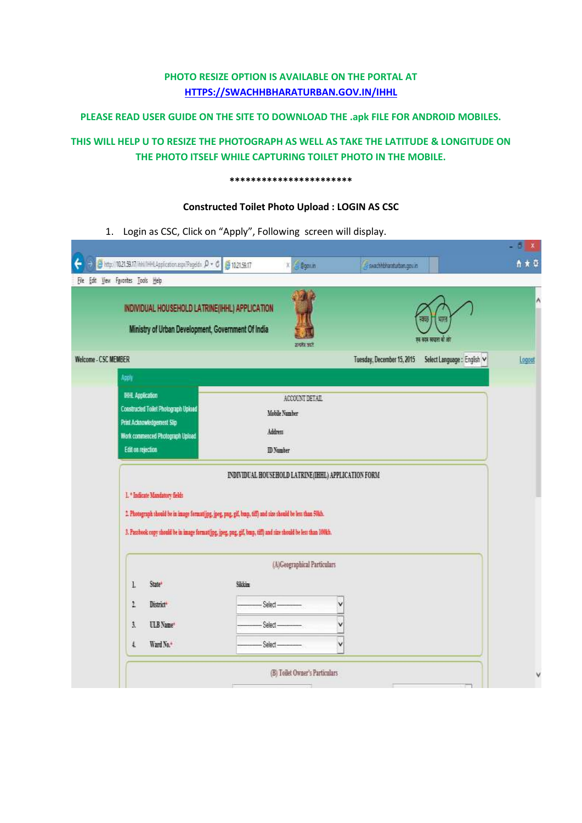#### **PHOTO RESIZE OPTION IS AVAILABLE ON THE PORTAL AT [HTTPS://SWACHHBHARATURBAN.GOV.IN/IHHL](https://swachhbharaturban.gov.in/IHHL)**

#### **PLEASE READ USER GUIDE ON THE SITE TO DOWNLOAD THE .apk FILE FOR ANDROID MOBILES.**

### **THIS WILL HELP U TO RESIZE THE PHOTOGRAPH AS WELL AS TAKE THE LATITUDE & LONGITUDE ON THE PHOTO ITSELF WHILE CAPTURING TOILET PHOTO IN THE MOBILE.**

#### **\*\*\*\*\*\*\*\*\*\*\*\*\*\*\*\*\*\*\*\*\*\*\***

#### **Constructed Toilet Photo Upload : LOGIN AS CSC**

1. Login as CSC, Click on "Apply", Following screen will display.

|                               | INDIVIDUAL HOUSEHOLD LATRINE(IHHL) APPLICATION<br>Ministry of Urban Development, Government Of India                                                  |                                                                                                                                                                                                                                                                                      |                             |                            | 细田<br>砌<br>एवं क्रम सरका वां आर |        |
|-------------------------------|-------------------------------------------------------------------------------------------------------------------------------------------------------|--------------------------------------------------------------------------------------------------------------------------------------------------------------------------------------------------------------------------------------------------------------------------------------|-----------------------------|----------------------------|---------------------------------|--------|
| Welcome - CSC MEMBER<br>Apply |                                                                                                                                                       |                                                                                                                                                                                                                                                                                      | इन्होर करें                 | Tuesday, December 15, 2015 | Select Language : English       | Logoue |
|                               | <b>HHL Application</b><br>Constructed Toilet Photograph Upload<br>Print Acknowledgement Slip<br>Work commenced Photograph Upload<br>Edit on rejection | Mobile Number<br>Address<br><b>ID</b> Number                                                                                                                                                                                                                                         | ACCOUNT DETAIL              |                            |                                 |        |
|                               | 1. <sup>*</sup> Indicate Mandatory fields                                                                                                             | INDIVIDUAL HOUSEHOLD LATRINE(IHHL) APPLICATION FORM<br>2. Photograph should be in image formatifyg, jpeg, pug, gif, busp, till) and size should be less than 50kh.<br>3. Passbook copy should be in image format(jpg, jpeg, pag, gif, bmp, tiff) and size should be less than 100kh. |                             |                            |                                 |        |
|                               |                                                                                                                                                       | Sikkin                                                                                                                                                                                                                                                                               | (A)Geographical Particulars |                            |                                 |        |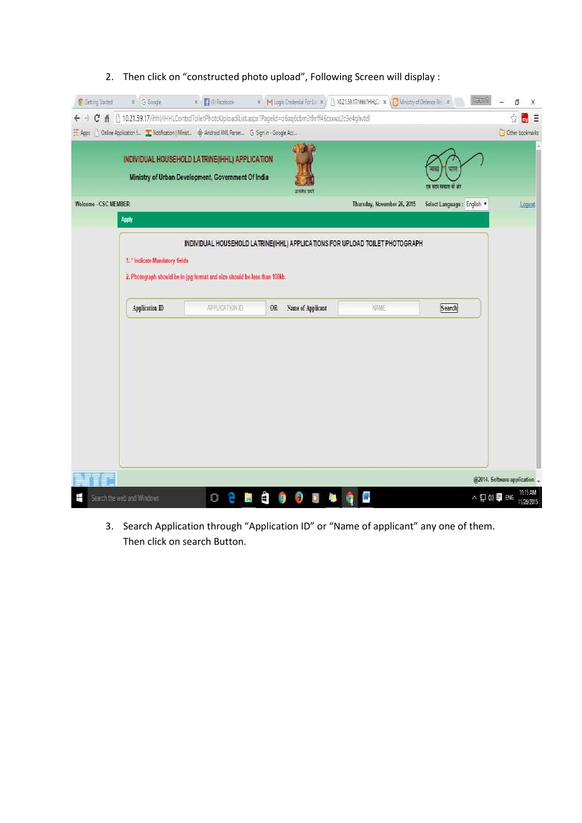| $\leftarrow$         |                |                                                                                                          | C f   10.21.59.17/ihhl/IHHLContsdToiletPhotoUploadiList.aspx?PageId=o6aq6cbm3thrff46csxwz2c3e4ghvtdl |                             |                                  | 삾<br>$\frac{1}{2}$          |
|----------------------|----------------|----------------------------------------------------------------------------------------------------------|------------------------------------------------------------------------------------------------------|-----------------------------|----------------------------------|-----------------------------|
|                      |                | Apps [ ] Onine Application f [ ] Notification   Minist. ( @ Android XXL Parset. G Sign in - Google Acc., |                                                                                                      |                             |                                  | Cther bookmarks             |
|                      |                | INDIVIDUAL HOUSEHOLD LATRINE(IHHL) APPLICATION<br>Ministry of Urban Development, Government Of India     | कायरेन कारी                                                                                          |                             | нø<br><b>DE STOR REVOLUSI DE</b> |                             |
| Welcome - CSC MEMBER |                |                                                                                                          |                                                                                                      | Thursday, November 26, 2015 | Select Language : English        | Logout                      |
|                      | Apply          |                                                                                                          |                                                                                                      |                             |                                  |                             |
|                      |                | 2. Photograph should be in jpg format and size should be less than 100kb.                                |                                                                                                      |                             |                                  |                             |
|                      | Application ID | <b>APPLICATION ID</b>                                                                                    | OR Name of Applicant                                                                                 | NAME                        | Search                           |                             |
|                      |                |                                                                                                          |                                                                                                      |                             |                                  |                             |
|                      |                |                                                                                                          |                                                                                                      |                             |                                  |                             |
|                      |                |                                                                                                          |                                                                                                      |                             |                                  |                             |
|                      |                |                                                                                                          |                                                                                                      |                             |                                  |                             |
|                      |                |                                                                                                          |                                                                                                      |                             |                                  |                             |
|                      |                |                                                                                                          |                                                                                                      |                             |                                  |                             |
|                      |                |                                                                                                          |                                                                                                      |                             |                                  | @2014. Software application |

### 2. Then click on "constructed photo upload", Following Screen will display :

3. Search Application through "Application ID" or "Name of applicant" any one of them. Then click on search Button.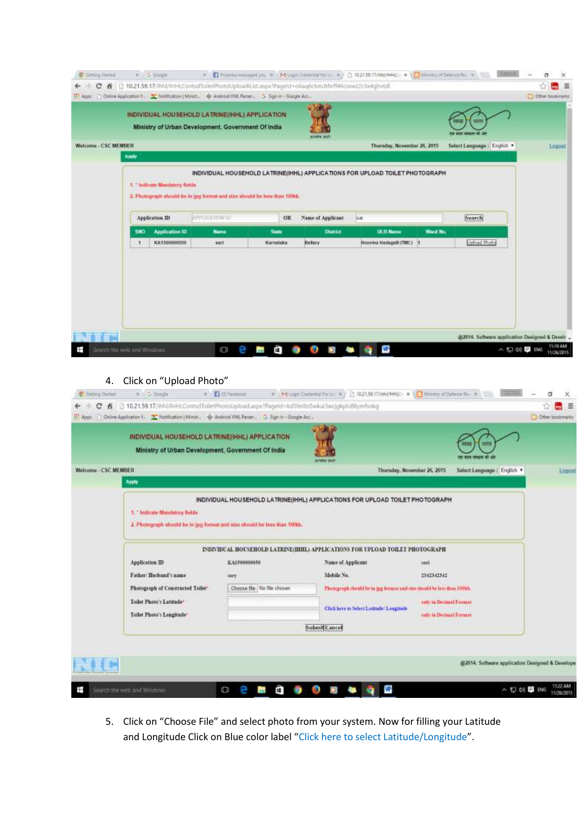|                             |            |                       | INDIVIDUAL HOUSEHOLD LATRINE(IHHL) APPLICATION<br>Ministry of Urban Development, Government Of India |              |                   |                             |          |                           |        |
|-----------------------------|------------|-----------------------|------------------------------------------------------------------------------------------------------|--------------|-------------------|-----------------------------|----------|---------------------------|--------|
| <b>Welcome - CSC MEMBER</b> | Apply      |                       |                                                                                                      |              |                   | Thursday, November 26, 2015 |          | Select Language : English | Logout |
|                             |            | Application ID        | 2. Photograph should be in jpg format and size should be less than 100th.<br><b>APPLICATION TO</b>   | OR           | Name of Applicant | $\frac{1}{2}$               |          | Search                    |        |
|                             | <b>SND</b> | <b>Application ID</b> | <b>Name</b>                                                                                          | <b>State</b> | <b>District</b>   | <b>IX.EI Name</b>           | Ward No. |                           |        |
|                             |            | KA1500000050          | sant                                                                                                 | Karnatska    | Belary.           | Hoovina Hodagalli (TMC)   1 |          | <b>Upload Photo</b>       |        |
|                             |            |                       |                                                                                                      |              |                   |                             |          |                           |        |
|                             |            |                       |                                                                                                      |              |                   |                             |          |                           |        |
|                             |            |                       |                                                                                                      |              |                   |                             |          |                           |        |

### 4. Click on "Upload Photo"

|                      | INDIVIDUAL HOUSEHOLD LATRINE(IHHL) APPLICATION<br>Ministry of Urban Development, Government Of India      |                              | <b>SHOOT WIL</b>                                                                                                    |                                                   |                             |        |
|----------------------|-----------------------------------------------------------------------------------------------------------|------------------------------|---------------------------------------------------------------------------------------------------------------------|---------------------------------------------------|-----------------------------|--------|
| Welcome - CSC MEMBER | Apply                                                                                                     |                              | Thursday, November 26, 2015                                                                                         |                                                   | Select Language : English . | Logout |
|                      | 1. Indicate Mandatory fields<br>2. Photograph should be in jpg format and size should be less than 100kb. |                              |                                                                                                                     |                                                   |                             |        |
|                      | Application ID                                                                                            | KA150000050                  | <b>INDIVIDUAL HOUSEHOLD LATRINE (HHL) APPLICATIONS FOR UPLOAD TOILET PHOTOGRAPH</b><br>Name of Applicant            | 1371                                              |                             |        |
|                      | Father/Husband's name                                                                                     | tary                         | Mobile No.                                                                                                          | 1341342342                                        |                             |        |
|                      | Photograph of Constructed Toilet-<br>Toilet Photo's Laritude-<br>Toilet Photo's Longitude*                | Choose file   No file chosen | Photograph thould be in geg form at and size should be less than 100kh.<br>Click here to Select Latitude/ Longitude | sulv in Decimal Format<br>suly in Declinal Fermer |                             |        |
|                      |                                                                                                           |                              | Submit Cancel                                                                                                       |                                                   |                             |        |

5. Click on "Choose File" and select photo from your system. Now for filling your Latitude and Longitude Click on Blue color label "Click here to select Latitude/Longitude".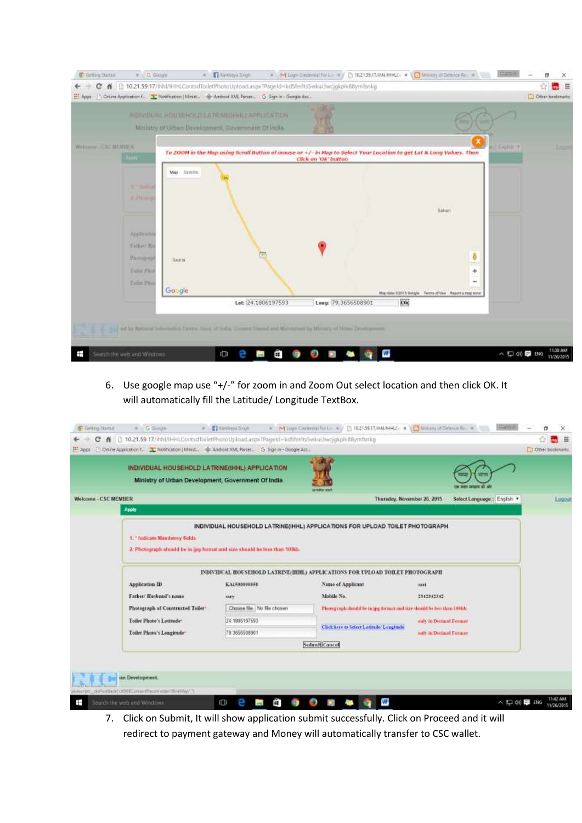

6. Use google map use "+/-" for zoom in and Zoom Out select location and then click OK. It will automatically fill the Latitude/ Longitude TextBox.

| Select Language: English<br>Welcome - CSC MEMBER<br>Thursday, November 26, 2015<br>Apply<br>INDIVIDUAL HOUSEHOLD LATRINE(IHHL) APPLICATIONS FOR UPLOAD TOILET PHOTOGRAPH<br>1. Todicoto Mandatory Solds<br>2. Photograph should be in jpg format and size should be less than 100kb.<br><b>EVIDENT HOUSEHOLD LATREVERHIL) APPLICATIONS FOR UPLOAD TOILET PHOTOGRAPH</b><br>Application ID<br>Name of Applicant<br>KA1500000050<br>nui.<br>Father Husband's name<br>Mobile No.<br>2342342342<br>sary<br>Choose file No file chosen<br>Phoregraph shauld be in jpg format and size should be best than 1010.b.<br>Photograph of Constructed Toiler-<br>24 1006197593<br>Toilet Photo's Latitude:<br>andy in Decimal Format<br>Click here to Select Latitude' Longitude<br>79 3656508901<br>Toilet Photo's Longirude*<br>andy in Decimal Format<br>Submit Cancel | INDIVIDUAL HOUSEHOLD LATRINE(IHHL) APPLICATION<br>Ministry of Urban Development, Government Of India |  |  |       |
|---------------------------------------------------------------------------------------------------------------------------------------------------------------------------------------------------------------------------------------------------------------------------------------------------------------------------------------------------------------------------------------------------------------------------------------------------------------------------------------------------------------------------------------------------------------------------------------------------------------------------------------------------------------------------------------------------------------------------------------------------------------------------------------------------------------------------------------------------------------|------------------------------------------------------------------------------------------------------|--|--|-------|
|                                                                                                                                                                                                                                                                                                                                                                                                                                                                                                                                                                                                                                                                                                                                                                                                                                                               |                                                                                                      |  |  | Logos |
|                                                                                                                                                                                                                                                                                                                                                                                                                                                                                                                                                                                                                                                                                                                                                                                                                                                               |                                                                                                      |  |  |       |
|                                                                                                                                                                                                                                                                                                                                                                                                                                                                                                                                                                                                                                                                                                                                                                                                                                                               |                                                                                                      |  |  |       |
|                                                                                                                                                                                                                                                                                                                                                                                                                                                                                                                                                                                                                                                                                                                                                                                                                                                               |                                                                                                      |  |  |       |
|                                                                                                                                                                                                                                                                                                                                                                                                                                                                                                                                                                                                                                                                                                                                                                                                                                                               |                                                                                                      |  |  |       |
|                                                                                                                                                                                                                                                                                                                                                                                                                                                                                                                                                                                                                                                                                                                                                                                                                                                               |                                                                                                      |  |  |       |
|                                                                                                                                                                                                                                                                                                                                                                                                                                                                                                                                                                                                                                                                                                                                                                                                                                                               |                                                                                                      |  |  |       |
|                                                                                                                                                                                                                                                                                                                                                                                                                                                                                                                                                                                                                                                                                                                                                                                                                                                               |                                                                                                      |  |  |       |

7. Click on Submit, It will show application submit successfully. Click on Proceed and it will redirect to payment gateway and Money will automatically transfer to CSC wallet.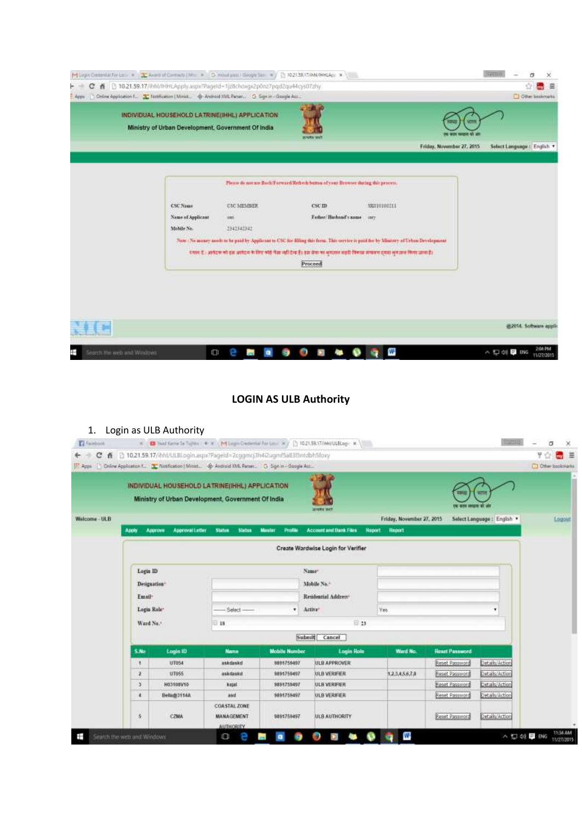| [M] Legin Disminista For Loc., # 2022 Wand of Contracts   Mr. # G. Hould pass / Google Set : W.   [Th 102138/17/04M/NHLApp. # ] |                                                    |                                                                                                      |                                                                                                                                                                                                                                                                                                                                                                                                                            |                                           |                           | FARDED<br>а<br>×                      |
|---------------------------------------------------------------------------------------------------------------------------------|----------------------------------------------------|------------------------------------------------------------------------------------------------------|----------------------------------------------------------------------------------------------------------------------------------------------------------------------------------------------------------------------------------------------------------------------------------------------------------------------------------------------------------------------------------------------------------------------------|-------------------------------------------|---------------------------|---------------------------------------|
| C K [3 10.21.59.17/Ibhl/IHHLApply.aspx?Pageld=1jzBchoxgx2p0nz7pgd2qu44cys07zhy                                                  |                                                    |                                                                                                      |                                                                                                                                                                                                                                                                                                                                                                                                                            |                                           |                           | Ϋ́<br>三<br><b>Inches</b>              |
| C-Driine Application F. T. Notification   Minist. @ Android XML Parset. G Sign in - Google Ass<br>Reps                          |                                                    |                                                                                                      |                                                                                                                                                                                                                                                                                                                                                                                                                            |                                           |                           | Other bookmarks                       |
|                                                                                                                                 |                                                    | INDIVIDUAL HOUSEHOLD LATRINE(IHHL) APPLICATION<br>Ministry of Urban Development, Government Of India | 305/09/18 1930                                                                                                                                                                                                                                                                                                                                                                                                             |                                           |                           |                                       |
|                                                                                                                                 |                                                    |                                                                                                      |                                                                                                                                                                                                                                                                                                                                                                                                                            |                                           | Friday, November 27, 2015 | Select Language: English              |
|                                                                                                                                 | <b>CSC Name</b><br>Name of Applicant<br>Mobile No. | <b>CONTRACTOR</b><br><b>CSC MEMBER</b><br>385<br>1342342342                                          | Please do not use Back/Forward/Refreds button of your Browser during this process.<br><b>Grand Corp.</b><br>CSCID<br>Father Husband's name<br>Now : No money needs to be paid by Applicant to CSC for filling this form. This veryies is paid for by Minnery of Urbon Development<br>देशान है : अर्थदक को इस अर्थदक के लिए कोई पैसा नहीं देख है। इस सेवा का भूगातन अहरी विकास सवाहन दायरा भूग तान किया जाना है।<br>Proceed | <b>EVALUATION</b><br>582010108211<br>3812 |                           |                                       |
|                                                                                                                                 |                                                    |                                                                                                      |                                                                                                                                                                                                                                                                                                                                                                                                                            |                                           |                           | @2014. Software appli-                |
| Ŧ<br>Search the web and Windows                                                                                                 | ā                                                  |                                                                                                      | m                                                                                                                                                                                                                                                                                                                                                                                                                          | w                                         |                           | 2:04 PM<br>< 口 di ■ ENG<br>11/27/2015 |

### **LOGIN AS ULB Authority**



|               |                                      | INDIVIDUAL HOUSEHOLD LATRINE(IHHL) APPLICATION<br>Ministry of Urban Development, Government Of India |                                                              |                          | <b>JERSEY WILL</b>                 |                                                               |                       |                           |        |
|---------------|--------------------------------------|------------------------------------------------------------------------------------------------------|--------------------------------------------------------------|--------------------------|------------------------------------|---------------------------------------------------------------|-----------------------|---------------------------|--------|
| Welcome - ULB | <b>Apply</b>                         | Approve<br>Approval Letter                                                                           | <b>Status</b><br>Status                                      | <b>Maxfur</b><br>Profile | <b>Account and Bank Files</b>      | Friday, November 27, 2015<br><b>Slegiont</b><br><b>Heport</b> |                       | Select Language : English | Logout |
|               |                                      |                                                                                                      |                                                              |                          | Create Wardwise Login for Verifier |                                                               |                       |                           |        |
|               | Logis ID<br>Designation <sup>*</sup> |                                                                                                      |                                                              |                          | Name <sup>*</sup><br>Mobile No."   |                                                               |                       |                           |        |
|               | Email:<br>Logia Role:                |                                                                                                      | $-$ Select $-$                                               | ۰                        | Residential Address®<br>Active*    | Yes.                                                          |                       |                           |        |
|               | Ward No.+                            |                                                                                                      | 18                                                           |                          | $\boxplus$ 23                      |                                                               |                       |                           |        |
|               |                                      |                                                                                                      |                                                              |                          | Submit Cancel                      |                                                               |                       |                           |        |
|               | S.No.                                | Login ID                                                                                             | <b>Nane</b>                                                  | <b>Mobile Number</b>     | <b>Login Role</b>                  | Ward No.                                                      | <b>React Password</b> |                           |        |
|               | $\blacksquare$                       | UF054                                                                                                | uskdaskd                                                     | 9891759497               | ULB APPROVER                       |                                                               | Reset Password        | Details/Action            |        |
|               | 2                                    | <b>UT655</b>                                                                                         | askdaskd                                                     | 9891759497               | ULB VERIFIER                       | 1.2.3.4.5.6.7.8                                               | Reset Password        | Details/Action            |        |
|               | э                                    | GPV801CDH                                                                                            | kejat                                                        | 5851759497               | ULB VERIFIER:                      |                                                               | <b>Reset Password</b> | Details/Action            |        |
|               | ×                                    | Beha@3114A                                                                                           | asd                                                          | 9891759497               | <b>ULB VERIFIER</b>                |                                                               | Reset Password        | Details/Action            |        |
|               | $\frac{5}{2}$                        | CZMA                                                                                                 | <b>COASTAL ZONE</b><br><b>MANAGEMENT</b><br><b>AUTHORITY</b> | 9891759497               | ULB AUTHORITY                      |                                                               | <b>Reset Password</b> | Details/Action            |        |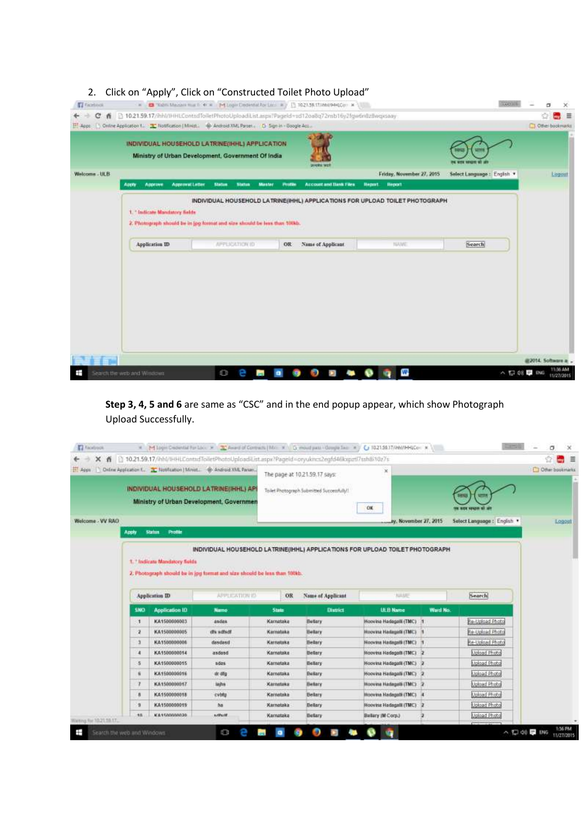### 2. Click on "Apply", Click on "Constructed Toilet Photo Upload"

|               |                                            | INDIVIDUAL HOUSEHOLD LATRINE(IHHL) APPLICATION<br>Ministry of Urban Development, Government Of India |                                                      |                                                             |                             |        |
|---------------|--------------------------------------------|------------------------------------------------------------------------------------------------------|------------------------------------------------------|-------------------------------------------------------------|-----------------------------|--------|
| Welcome - ULB | Approve<br><b>Approval Letter</b><br>Apply | <b>Nature</b><br><b>Master</b><br><b>Status</b>                                                      | province with<br>Account and Illank Files<br>Profile | Friday, November 27, 2015<br><b>Heppyt</b><br><b>Heport</b> | Select Language : English * | Legout |
|               | 1. "Indicate Mandstory fields              |                                                                                                      |                                                      |                                                             |                             |        |
|               | Application ID                             | 2. Photograph should be in jpg format and size should be less than 100kb.<br><b>APPLICATION ID</b>   | Nime of Applicant<br>OR                              | <b>TUME</b>                                                 | Search                      |        |
|               |                                            |                                                                                                      |                                                      |                                                             |                             |        |
|               |                                            |                                                                                                      |                                                      |                                                             |                             |        |
|               |                                            |                                                                                                      |                                                      |                                                             |                             |        |

**Step 3, 4, 5 and 6** are same as "CSC" and in the end popup appear, which show Photograph Upload Successfully.

| EL Apps          |              |                              | Diline Application E. D. Notification   Minist. @ Android XML Panan<br>INDIVIDUAL HOUSEHOLD LATRINE(IHHL) AP<br>Ministry of Urban Development, Governmen |                        | The page at 10.21.59.17 says:<br>Tailet Photograph Submitted Successfully!! | $\mathbbmss{}$<br>OK                               |          |                                      | C Other bookmarks |
|------------------|--------------|------------------------------|----------------------------------------------------------------------------------------------------------------------------------------------------------|------------------------|-----------------------------------------------------------------------------|----------------------------------------------------|----------|--------------------------------------|-------------------|
| Welcome - VV RAO |              |                              |                                                                                                                                                          |                        |                                                                             | by, November 27, 2015                              |          | Select Language : English            | Logout            |
|                  | Apply        | <b>Status</b><br>Profile     |                                                                                                                                                          |                        |                                                                             |                                                    |          |                                      |                   |
|                  |              |                              | 2. Photograph should be in jpg format and size should be less than 100kb.                                                                                |                        |                                                                             |                                                    |          |                                      |                   |
|                  |              | <b>Application ID</b>        | <b>APPLICATION IS</b>                                                                                                                                    | OR                     | Name of Applicant                                                           | <b>NAME</b>                                        |          | Search]                              |                   |
|                  | 5360         | Application ID               | <b>Name</b>                                                                                                                                              | State                  | District                                                                    | <b>ULB Name</b>                                    | Ward No. |                                      |                   |
|                  | $\mathbf{1}$ | KA1500000003                 | asidas                                                                                                                                                   | Karnataka              | <b>Buttery</b>                                                              | Hoovina Hadagalk (TMC)                             |          | Be-Upload Photo                      |                   |
|                  | a            | KA1500000005                 | dh sdisdf                                                                                                                                                | Kamataka               | <b>Helary</b>                                                               | Hoovina Hadagala (TMC)                             |          | Re-Upload Photo                      |                   |
|                  | a            | KA1500000006                 | dasdasd                                                                                                                                                  | Karrustaka             | Belary                                                                      | Hoovina Hadagatk (TMC)                             |          | Re-Upload Photo                      |                   |
|                  | и            | KA1500000014                 | asdesd                                                                                                                                                   | Karnataka              | Bellary                                                                     | Hooves Hadaga® (TMC) 2                             |          | Upload Photo                         |                   |
|                  | -5<br>٠      | KA1500000015<br>KA1500000016 | sides.<br>dr afg                                                                                                                                         | Karnataka<br>Karnstoka | <b>Bellery</b><br>Bellary                                                   | Hoovina Hadagalli (TMC)<br>Hoovina Hadagalli (TMC) |          | <b>Molbad Photo</b>                  |                   |
|                  | 73           | KA1500000017                 | laghs                                                                                                                                                    | Karnstowa              | Betary                                                                      | <b>Hooving Hadagett (TMC)</b>                      |          | <b>Lipload Photo</b><br>Upload Photo |                   |
|                  | B            | KA1500000018                 | cyblu                                                                                                                                                    | Karnataka              | <b>Belary</b>                                                               | Hoovina Hadagatk (TMC)                             |          | <b>Upload Photo</b>                  |                   |
|                  | 准            | KA1500000019                 | ha                                                                                                                                                       | Karnataka              | Belary                                                                      | Hooving Hadagalli (TMC) 2                          |          | Upload Photo                         |                   |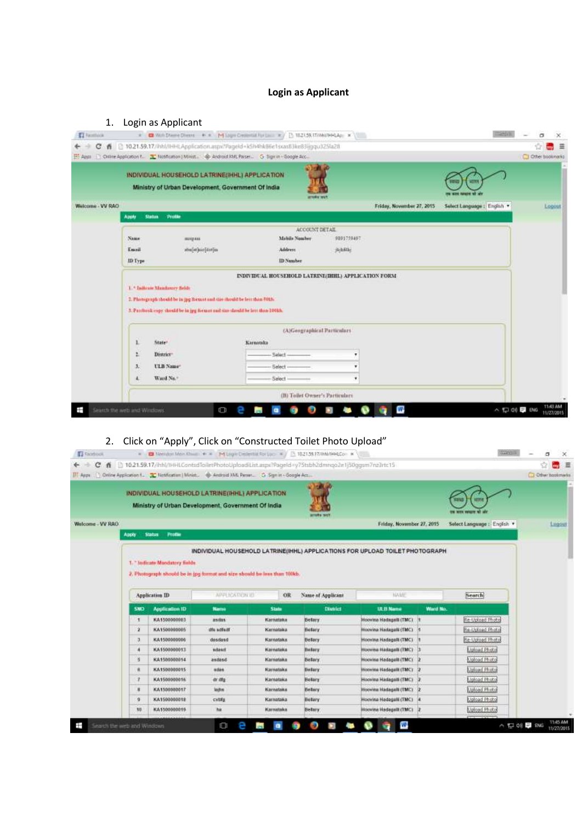### **Login as Applicant**

| 1.                              |                | Login as Applicant                                                                                       |           |                                                            |            |                           |                           |                    |                      |
|---------------------------------|----------------|----------------------------------------------------------------------------------------------------------|-----------|------------------------------------------------------------|------------|---------------------------|---------------------------|--------------------|----------------------|
| <b>ET</b> Facebook              | $\mathbb{R}^+$ | Woh Diverse Directe # = M Logio Crescitat For Law # B 182159.17/HWW454p; x                               |           |                                                            |            |                           | <b>TEMPOR</b>             | 西                  | $\times$             |
| е<br>乔                          |                | 2 10.21.59.17/inhl/iHHLApplication.aspx?PageId=k5h4hkB6e1sxasB3ke83ijgqu325fa2fl                         |           |                                                            |            |                           |                           |                    | Ξ                    |
|                                 |                | ET Apps   Chiline Application f. 22 Notification   Minist. @ Android KML Parser. G Sign in - Google Acc. |           |                                                            |            |                           |                           | CT Other bookmarks |                      |
|                                 |                | INDIVIDUAL HOUSEHOLD LATRINE(IHHL) APPLICATION<br>Ministry of Urban Development, Government Of India     |           | ereator neg                                                |            |                           |                           |                    |                      |
| Welcome - VV RAO                |                |                                                                                                          |           |                                                            |            | Friday, November 27, 2015 | Select Language : English |                    | Logout               |
|                                 | Apply          | Profile<br><b>Status:</b>                                                                                |           |                                                            |            |                           |                           |                    |                      |
|                                 |                |                                                                                                          |           | ACCOUNT DETAIL                                             |            |                           |                           |                    |                      |
|                                 | Nams.          | muun                                                                                                     |           | Mabile Nember                                              | 9891759497 |                           |                           |                    |                      |
|                                 | Enanil         | abrilation des les                                                                                       |           | Address                                                    | japhilis.  |                           |                           |                    |                      |
|                                 | ID Type        |                                                                                                          |           | ID Number                                                  |            |                           |                           |                    |                      |
|                                 |                |                                                                                                          |           | <b>INDIVIDUAL HOUSEHOLD LATRINE/IHHL) APPLICATION FORM</b> |            |                           |                           |                    |                      |
|                                 |                | 1. * Indicate Mandatory fields                                                                           |           |                                                            |            |                           |                           |                    |                      |
|                                 |                | 2. Photograph thould be in jpg formed and size theuld be less than 50th.                                 |           |                                                            |            |                           |                           |                    |                      |
|                                 |                | 5. Pastheok copy should be in jpg formar and size should be less than 10013.                             |           |                                                            |            |                           |                           |                    |                      |
|                                 |                |                                                                                                          |           | (A)Geographical Particulars                                |            |                           |                           |                    |                      |
|                                 |                | State <sup>®</sup>                                                                                       | Karnatska |                                                            |            |                           |                           |                    |                      |
|                                 | t.             | District <sup>®</sup>                                                                                    |           | Select                                                     |            |                           |                           |                    |                      |
|                                 | 围              | <b>ULB Name</b>                                                                                          |           | -Select                                                    |            |                           |                           |                    |                      |
|                                 |                | Ward No. <sup>4</sup>                                                                                    |           | -Select                                                    |            |                           |                           |                    |                      |
|                                 |                |                                                                                                          |           |                                                            |            |                           |                           |                    |                      |
|                                 |                |                                                                                                          |           | (B) Toilet Owner's Particulars                             |            |                           |                           |                    |                      |
| Ŧ<br>Search the web and Windows |                |                                                                                                          | G         |                                                            |            |                           |                           | △ \$3 00 ■ 8KG     | TMJ AM<br>11/27/2015 |

# 2. Click on "Apply", Click on "Constructed Toilet Photo Upload"

| <b>Fi</b> Facebook |                            |                                                 |                                                                                                           |                  | = B Neklas Men Cham + = M Logic Defention process = / 15 102139.17/info@HECon = \               |                           |          | <b>START OF</b>             | σ<br>×                           |
|--------------------|----------------------------|-------------------------------------------------|-----------------------------------------------------------------------------------------------------------|------------------|-------------------------------------------------------------------------------------------------|---------------------------|----------|-----------------------------|----------------------------------|
| $\mathbf{C}$       |                            |                                                 | [1] Apps.   Online Application 1. 2 Notification   Minist. 0 Android XML Parset.   C Sign in - Google Acc |                  | ▲ 010.21.59.17/hhl/HHLContadToiletPhotoUploadEList.aspx?PageId=y75tsbh2dmnqo2e1j50ggam7n≥Irtc15 |                           |          |                             | $m_0$ $\equiv$<br>Cher bookmarks |
|                    |                            |                                                 | INDIVIDUAL HOUSEHOLD LATRINE(IHHL) APPLICATION                                                            |                  |                                                                                                 |                           |          |                             |                                  |
|                    |                            |                                                 | Ministry of Urban Development, Government Of India                                                        |                  |                                                                                                 |                           |          |                             |                                  |
| Welcome - VV RAO   |                            |                                                 |                                                                                                           |                  |                                                                                                 | Friday, November 27, 2015 |          | Select Language : English * | Lugout                           |
|                    | <b>ABDS</b>                | Status Profile                                  |                                                                                                           |                  |                                                                                                 |                           |          |                             |                                  |
|                    |                            | 1. "Indicate Mondatory fields<br>Application ID | 2. Photograph should be in (pg format and size should be less than 100kb.<br>APPENDATION ID               | OR               | Name of Applicant                                                                               | NAME                      |          | Search                      |                                  |
|                    | <b>SNO</b>                 | Application ID                                  | <b>Name</b>                                                                                               | Statu            | District                                                                                        | <b>ULB Name</b>           | Ward No. |                             |                                  |
|                    | ×                          | KA1500000003                                    | asdas.                                                                                                    | Karnataka        | Betary                                                                                          | Hoovina Hadagalk (TMC) 1  |          | Re-Upload Photo             |                                  |
|                    | $\mathbf{z}$               | KA1500000005                                    | dfs schult                                                                                                | Karnataka        | <b>Betary</b>                                                                                   | Hoovina Hadagalk (TMC)    |          | Re-Upload Photo             |                                  |
|                    | а                          | KA1500000006                                    | dasdasd                                                                                                   | Karnataka        | Betary                                                                                          | Hooving Hadagalk (TMC)    |          | Re-Upfoad Photo             |                                  |
|                    | A                          | KA1500000011                                    | sdasn                                                                                                     | Karnataka        | Betary                                                                                          | Hoovina Hadagalk (TMC)    |          | <b>Lipinad Photo</b>        |                                  |
|                    | 首                          | KA1500000014                                    | asdasd                                                                                                    | Karnataka        | <b>Betary</b>                                                                                   | Hoovina Hadagalik (TMC) 2 |          | Upload Photo                |                                  |
|                    | ñ.                         | KA1500000015                                    | woke.                                                                                                     | Karnatska        | <b>Bolary</b>                                                                                   | Hoovina Hadagalk (TMC)    |          | <b>Upload Photo</b>         |                                  |
|                    | $\cdot$                    | KA1500000016                                    | dr illg                                                                                                   | Karnataka        | Betary                                                                                          | Hoovina Hadagalli (TMC) 2 |          | <b>Upload Photo</b>         |                                  |
|                    | n                          | KA1500000017                                    | lane                                                                                                      | <b>Karnataka</b> | Belary                                                                                          | Hoovina Hadagalli (TMC) 2 |          | <b>Mpload Photo</b>         |                                  |
|                    | $\mathbf{9}$               | KA1500000018                                    | cytifu                                                                                                    | Karnataka        | Betary                                                                                          | Hoovina Hadagalli (TMC) 4 |          | Moload Photo                |                                  |
|                    | 10                         | KA1500000019                                    | hit                                                                                                       | Karnatska        | <b>Belary</b>                                                                                   | Hoovina Hadagalk (TMC) 2  |          | Upload Photo                |                                  |
| Ŧ                  | Search the web and Windows |                                                 | 山                                                                                                         | m                |                                                                                                 | w                         |          | △ 口 00 ■ ENG                | <b>T145 AM</b><br>11/27/2015     |